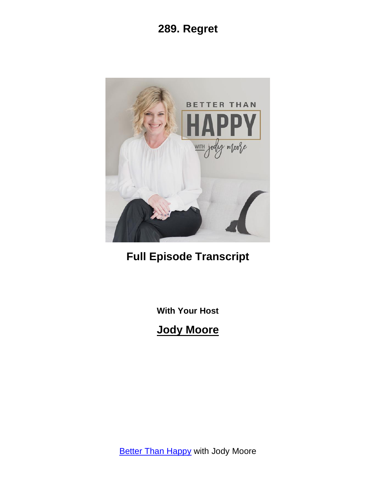

# **Full Episode Transcript**

**With Your Host**

**Jody Moore**

**[Better Than Happy](https://jodymoore.com/podcast/) with Jody Moore**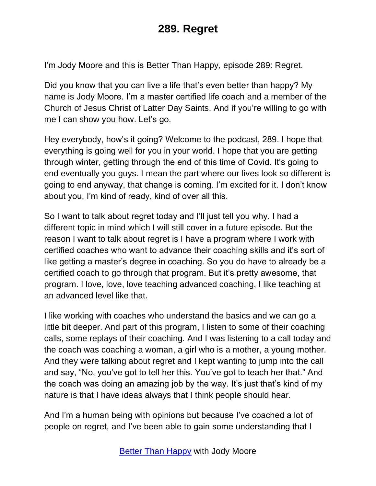I'm Jody Moore and this is Better Than Happy, episode 289: Regret.

Did you know that you can live a life that's even better than happy? My name is Jody Moore. I'm a master certified life coach and a member of the Church of Jesus Christ of Latter Day Saints. And if you're willing to go with me I can show you how. Let's go.

Hey everybody, how's it going? Welcome to the podcast, 289. I hope that everything is going well for you in your world. I hope that you are getting through winter, getting through the end of this time of Covid. It's going to end eventually you guys. I mean the part where our lives look so different is going to end anyway, that change is coming. I'm excited for it. I don't know about you, I'm kind of ready, kind of over all this.

So I want to talk about regret today and I'll just tell you why. I had a different topic in mind which I will still cover in a future episode. But the reason I want to talk about regret is I have a program where I work with certified coaches who want to advance their coaching skills and it's sort of like getting a master's degree in coaching. So you do have to already be a certified coach to go through that program. But it's pretty awesome, that program. I love, love, love teaching advanced coaching, I like teaching at an advanced level like that.

I like working with coaches who understand the basics and we can go a little bit deeper. And part of this program, I listen to some of their coaching calls, some replays of their coaching. And I was listening to a call today and the coach was coaching a woman, a girl who is a mother, a young mother. And they were talking about regret and I kept wanting to jump into the call and say, "No, you've got to tell her this. You've got to teach her that." And the coach was doing an amazing job by the way. It's just that's kind of my nature is that I have ideas always that I think people should hear.

And I'm a human being with opinions but because I've coached a lot of people on regret, and I've been able to gain some understanding that I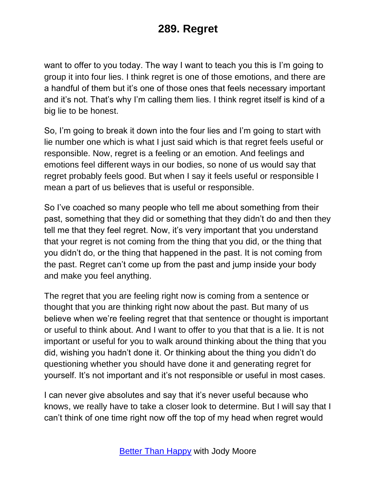want to offer to you today. The way I want to teach you this is I'm going to group it into four lies. I think regret is one of those emotions, and there are a handful of them but it's one of those ones that feels necessary important and it's not. That's why I'm calling them lies. I think regret itself is kind of a big lie to be honest.

So, I'm going to break it down into the four lies and I'm going to start with lie number one which is what I just said which is that regret feels useful or responsible. Now, regret is a feeling or an emotion. And feelings and emotions feel different ways in our bodies, so none of us would say that regret probably feels good. But when I say it feels useful or responsible I mean a part of us believes that is useful or responsible.

So I've coached so many people who tell me about something from their past, something that they did or something that they didn't do and then they tell me that they feel regret. Now, it's very important that you understand that your regret is not coming from the thing that you did, or the thing that you didn't do, or the thing that happened in the past. It is not coming from the past. Regret can't come up from the past and jump inside your body and make you feel anything.

The regret that you are feeling right now is coming from a sentence or thought that you are thinking right now about the past. But many of us believe when we're feeling regret that that sentence or thought is important or useful to think about. And I want to offer to you that that is a lie. It is not important or useful for you to walk around thinking about the thing that you did, wishing you hadn't done it. Or thinking about the thing you didn't do questioning whether you should have done it and generating regret for yourself. It's not important and it's not responsible or useful in most cases.

I can never give absolutes and say that it's never useful because who knows, we really have to take a closer look to determine. But I will say that I can't think of one time right now off the top of my head when regret would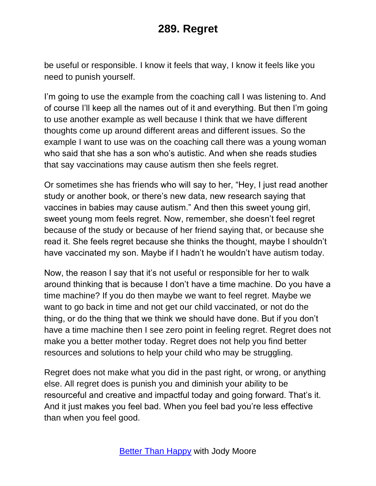be useful or responsible. I know it feels that way, I know it feels like you need to punish yourself.

I'm going to use the example from the coaching call I was listening to. And of course I'll keep all the names out of it and everything. But then I'm going to use another example as well because I think that we have different thoughts come up around different areas and different issues. So the example I want to use was on the coaching call there was a young woman who said that she has a son who's autistic. And when she reads studies that say vaccinations may cause autism then she feels regret.

Or sometimes she has friends who will say to her, "Hey, I just read another study or another book, or there's new data, new research saying that vaccines in babies may cause autism." And then this sweet young girl, sweet young mom feels regret. Now, remember, she doesn't feel regret because of the study or because of her friend saying that, or because she read it. She feels regret because she thinks the thought, maybe I shouldn't have vaccinated my son. Maybe if I hadn't he wouldn't have autism today.

Now, the reason I say that it's not useful or responsible for her to walk around thinking that is because I don't have a time machine. Do you have a time machine? If you do then maybe we want to feel regret. Maybe we want to go back in time and not get our child vaccinated, or not do the thing, or do the thing that we think we should have done. But if you don't have a time machine then I see zero point in feeling regret. Regret does not make you a better mother today. Regret does not help you find better resources and solutions to help your child who may be struggling.

Regret does not make what you did in the past right, or wrong, or anything else. All regret does is punish you and diminish your ability to be resourceful and creative and impactful today and going forward. That's it. And it just makes you feel bad. When you feel bad you're less effective than when you feel good.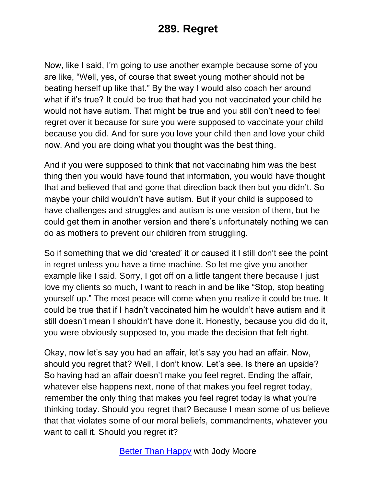Now, like I said, I'm going to use another example because some of you are like, "Well, yes, of course that sweet young mother should not be beating herself up like that." By the way I would also coach her around what if it's true? It could be true that had you not vaccinated your child he would not have autism. That might be true and you still don't need to feel regret over it because for sure you were supposed to vaccinate your child because you did. And for sure you love your child then and love your child now. And you are doing what you thought was the best thing.

And if you were supposed to think that not vaccinating him was the best thing then you would have found that information, you would have thought that and believed that and gone that direction back then but you didn't. So maybe your child wouldn't have autism. But if your child is supposed to have challenges and struggles and autism is one version of them, but he could get them in another version and there's unfortunately nothing we can do as mothers to prevent our children from struggling.

So if something that we did 'created' it or caused it I still don't see the point in regret unless you have a time machine. So let me give you another example like I said. Sorry, I got off on a little tangent there because I just love my clients so much, I want to reach in and be like "Stop, stop beating yourself up." The most peace will come when you realize it could be true. It could be true that if I hadn't vaccinated him he wouldn't have autism and it still doesn't mean I shouldn't have done it. Honestly, because you did do it, you were obviously supposed to, you made the decision that felt right.

Okay, now let's say you had an affair, let's say you had an affair. Now, should you regret that? Well, I don't know. Let's see. Is there an upside? So having had an affair doesn't make you feel regret. Ending the affair, whatever else happens next, none of that makes you feel regret today, remember the only thing that makes you feel regret today is what you're thinking today. Should you regret that? Because I mean some of us believe that that violates some of our moral beliefs, commandments, whatever you want to call it. Should you regret it?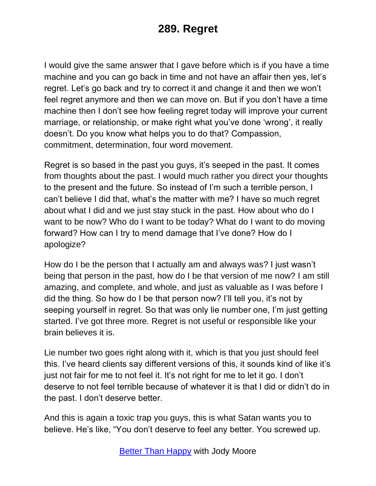I would give the same answer that I gave before which is if you have a time machine and you can go back in time and not have an affair then yes, let's regret. Let's go back and try to correct it and change it and then we won't feel regret anymore and then we can move on. But if you don't have a time machine then I don't see how feeling regret today will improve your current marriage, or relationship, or make right what you've done 'wrong', it really doesn't. Do you know what helps you to do that? Compassion, commitment, determination, four word movement.

Regret is so based in the past you guys, it's seeped in the past. It comes from thoughts about the past. I would much rather you direct your thoughts to the present and the future. So instead of I'm such a terrible person, I can't believe I did that, what's the matter with me? I have so much regret about what I did and we just stay stuck in the past. How about who do I want to be now? Who do I want to be today? What do I want to do moving forward? How can I try to mend damage that I've done? How do I apologize?

How do I be the person that I actually am and always was? I just wasn't being that person in the past, how do I be that version of me now? I am still amazing, and complete, and whole, and just as valuable as I was before I did the thing. So how do I be that person now? I'll tell you, it's not by seeping yourself in regret. So that was only lie number one, I'm just getting started. I've got three more. Regret is not useful or responsible like your brain believes it is.

Lie number two goes right along with it, which is that you just should feel this. I've heard clients say different versions of this, it sounds kind of like it's just not fair for me to not feel it. It's not right for me to let it go. I don't deserve to not feel terrible because of whatever it is that I did or didn't do in the past. I don't deserve better.

And this is again a toxic trap you guys, this is what Satan wants you to believe. He's like, "You don't deserve to feel any better. You screwed up.

**[Better Than Happy](https://jodymoore.com/podcast/) with Jody Moore**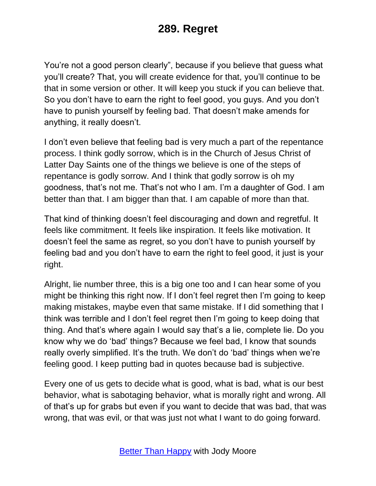You're not a good person clearly", because if you believe that guess what you'll create? That, you will create evidence for that, you'll continue to be that in some version or other. It will keep you stuck if you can believe that. So you don't have to earn the right to feel good, you guys. And you don't have to punish yourself by feeling bad. That doesn't make amends for anything, it really doesn't.

I don't even believe that feeling bad is very much a part of the repentance process. I think godly sorrow, which is in the Church of Jesus Christ of Latter Day Saints one of the things we believe is one of the steps of repentance is godly sorrow. And I think that godly sorrow is oh my goodness, that's not me. That's not who I am. I'm a daughter of God. I am better than that. I am bigger than that. I am capable of more than that.

That kind of thinking doesn't feel discouraging and down and regretful. It feels like commitment. It feels like inspiration. It feels like motivation. It doesn't feel the same as regret, so you don't have to punish yourself by feeling bad and you don't have to earn the right to feel good, it just is your right.

Alright, lie number three, this is a big one too and I can hear some of you might be thinking this right now. If I don't feel regret then I'm going to keep making mistakes, maybe even that same mistake. If I did something that I think was terrible and I don't feel regret then I'm going to keep doing that thing. And that's where again I would say that's a lie, complete lie. Do you know why we do 'bad' things? Because we feel bad, I know that sounds really overly simplified. It's the truth. We don't do 'bad' things when we're feeling good. I keep putting bad in quotes because bad is subjective.

Every one of us gets to decide what is good, what is bad, what is our best behavior, what is sabotaging behavior, what is morally right and wrong. All of that's up for grabs but even if you want to decide that was bad, that was wrong, that was evil, or that was just not what I want to do going forward.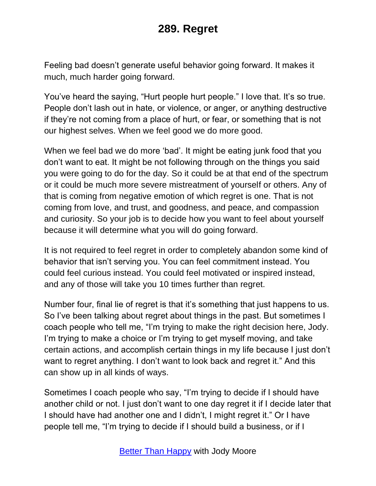Feeling bad doesn't generate useful behavior going forward. It makes it much, much harder going forward.

You've heard the saying, "Hurt people hurt people." I love that. It's so true. People don't lash out in hate, or violence, or anger, or anything destructive if they're not coming from a place of hurt, or fear, or something that is not our highest selves. When we feel good we do more good.

When we feel bad we do more 'bad'. It might be eating junk food that you don't want to eat. It might be not following through on the things you said you were going to do for the day. So it could be at that end of the spectrum or it could be much more severe mistreatment of yourself or others. Any of that is coming from negative emotion of which regret is one. That is not coming from love, and trust, and goodness, and peace, and compassion and curiosity. So your job is to decide how you want to feel about yourself because it will determine what you will do going forward.

It is not required to feel regret in order to completely abandon some kind of behavior that isn't serving you. You can feel commitment instead. You could feel curious instead. You could feel motivated or inspired instead, and any of those will take you 10 times further than regret.

Number four, final lie of regret is that it's something that just happens to us. So I've been talking about regret about things in the past. But sometimes I coach people who tell me, "I'm trying to make the right decision here, Jody. I'm trying to make a choice or I'm trying to get myself moving, and take certain actions, and accomplish certain things in my life because I just don't want to regret anything. I don't want to look back and regret it." And this can show up in all kinds of ways.

Sometimes I coach people who say, "I'm trying to decide if I should have another child or not. I just don't want to one day regret it if I decide later that I should have had another one and I didn't, I might regret it." Or I have people tell me, "I'm trying to decide if I should build a business, or if I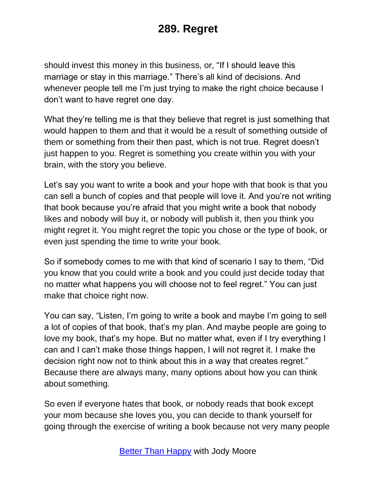should invest this money in this business, or, "If I should leave this marriage or stay in this marriage." There's all kind of decisions. And whenever people tell me I'm just trying to make the right choice because I don't want to have regret one day.

What they're telling me is that they believe that regret is just something that would happen to them and that it would be a result of something outside of them or something from their then past, which is not true. Regret doesn't just happen to you. Regret is something you create within you with your brain, with the story you believe.

Let's say you want to write a book and your hope with that book is that you can sell a bunch of copies and that people will love it. And you're not writing that book because you're afraid that you might write a book that nobody likes and nobody will buy it, or nobody will publish it, then you think you might regret it. You might regret the topic you chose or the type of book, or even just spending the time to write your book.

So if somebody comes to me with that kind of scenario I say to them, "Did you know that you could write a book and you could just decide today that no matter what happens you will choose not to feel regret." You can just make that choice right now.

You can say, "Listen, I'm going to write a book and maybe I'm going to sell a lot of copies of that book, that's my plan. And maybe people are going to love my book, that's my hope. But no matter what, even if I try everything I can and I can't make those things happen, I will not regret it. I make the decision right now not to think about this in a way that creates regret." Because there are always many, many options about how you can think about something.

So even if everyone hates that book, or nobody reads that book except your mom because she loves you, you can decide to thank yourself for going through the exercise of writing a book because not very many people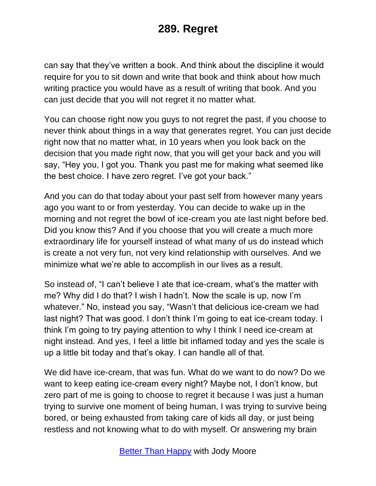can say that they've written a book. And think about the discipline it would require for you to sit down and write that book and think about how much writing practice you would have as a result of writing that book. And you can just decide that you will not regret it no matter what.

You can choose right now you guys to not regret the past, if you choose to never think about things in a way that generates regret. You can just decide right now that no matter what, in 10 years when you look back on the decision that you made right now, that you will get your back and you will say, "Hey you, I got you. Thank you past me for making what seemed like the best choice. I have zero regret. I've got your back."

And you can do that today about your past self from however many years ago you want to or from yesterday. You can decide to wake up in the morning and not regret the bowl of ice-cream you ate last night before bed. Did you know this? And if you choose that you will create a much more extraordinary life for yourself instead of what many of us do instead which is create a not very fun, not very kind relationship with ourselves. And we minimize what we're able to accomplish in our lives as a result.

So instead of, "I can't believe I ate that ice-cream, what's the matter with me? Why did I do that? I wish I hadn't. Now the scale is up, now I'm whatever." No, instead you say, "Wasn't that delicious ice-cream we had last night? That was good. I don't think I'm going to eat ice-cream today. I think I'm going to try paying attention to why I think I need ice-cream at night instead. And yes, I feel a little bit inflamed today and yes the scale is up a little bit today and that's okay. I can handle all of that.

We did have ice-cream, that was fun. What do we want to do now? Do we want to keep eating ice-cream every night? Maybe not, I don't know, but zero part of me is going to choose to regret it because I was just a human trying to survive one moment of being human, I was trying to survive being bored, or being exhausted from taking care of kids all day, or just being restless and not knowing what to do with myself. Or answering my brain